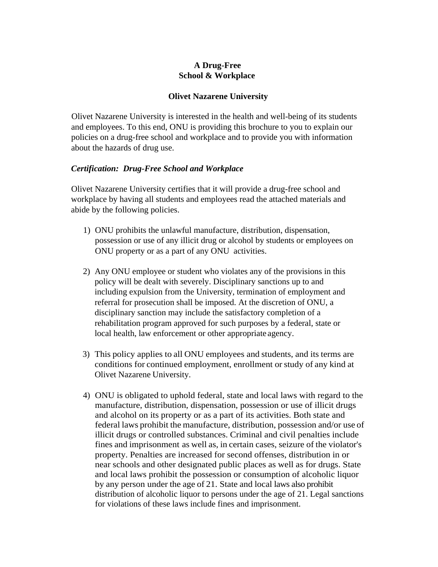## **A Drug-Free School & Workplace**

#### **Olivet Nazarene University**

Olivet Nazarene University is interested in the health and well-being of its students and employees. To this end, ONU is providing this brochure to you to explain our policies on a drug-free school and workplace and to provide you with information about the hazards of drug use.

#### *Certification: Drug-Free School and Workplace*

Olivet Nazarene University certifies that it will provide a drug-free school and workplace by having all students and employees read the attached materials and abide by the following policies.

- 1) ONU prohibits the unlawful manufacture, distribution, dispensation, possession or use of any illicit drug or alcohol by students or employees on ONU property or as a part of any ONU activities.
- 2) Any ONU employee or student who violates any of the provisions in this policy will be dealt with severely. Disciplinary sanctions up to and including expulsion from the University, termination of employment and referral for prosecution shall be imposed. At the discretion of ONU, a disciplinary sanction may include the satisfactory completion of a rehabilitation program approved for such purposes by a federal, state or local health, law enforcement or other appropriate agency.
- 3) This policy applies to all ONU employees and students, and its terms are conditions for continued employment, enrollment or study of any kind at Olivet Nazarene University.
- 4) ONU is obligated to uphold federal, state and local laws with regard to the manufacture, distribution, dispensation, possession or use of illicit drugs and alcohol on its property or as a part of its activities. Both state and federal laws prohibit the manufacture, distribution, possession and/or use of illicit drugs or controlled substances. Criminal and civil penalties include fines and imprisonment as well as, in certain cases, seizure of the violator's property. Penalties are increased for second offenses, distribution in or near schools and other designated public places as well as for drugs. State and local laws prohibit the possession or consumption of alcoholic liquor by any person under the age of 21. State and local laws also prohibit distribution of alcoholic liquor to persons under the age of 21. Legal sanctions for violations of these laws include fines and imprisonment.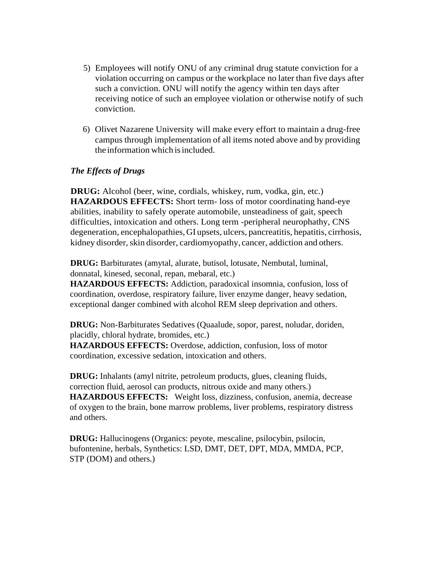- 5) Employees will notify ONU of any criminal drug statute conviction for a violation occurring on campus or the workplace no later than five days after such a conviction. ONU will notify the agency within ten days after receiving notice of such an employee violation or otherwise notify of such conviction.
- 6) Olivet Nazarene University will make every effort to maintain a drug-free campus through implementation of all items noted above and by providing the information which is included.

### *The Effects of Drugs*

**DRUG:** Alcohol (beer, wine, cordials, whiskey, rum, vodka, gin, etc.) **HAZARDOUS EFFECTS:** Short term- loss of motor coordinating hand-eye abilities, inability to safely operate automobile, unsteadiness of gait, speech difficulties, intoxication and others. Long term -peripheral neurophathy, CNS degeneration, encephalopathies, GI upsets, ulcers, pancreatitis, hepatitis, cirrhosis, kidney disorder, skin disorder, cardiomyopathy, cancer, addiction and others.

**DRUG:** Barbiturates (amytal, alurate, butisol, lotusate, Nembutal, luminal, donnatal, kinesed, seconal, repan, mebaral, etc.)

**HAZARDOUS EFFECTS:** Addiction, paradoxical insomnia, confusion, loss of coordination, overdose, respiratory failure, liver enzyme danger, heavy sedation, exceptional danger combined with alcohol REM sleep deprivation and others.

**DRUG:** Non-Barbiturates Sedatives (Quaalude, sopor, parest, noludar, doriden, placidly, chloral hydrate, bromides, etc.)

**HAZARDOUS EFFECTS:** Overdose, addiction, confusion, loss of motor coordination, excessive sedation, intoxication and others.

**DRUG:** Inhalants (amyl nitrite, petroleum products, glues, cleaning fluids, correction fluid, aerosol can products, nitrous oxide and many others.) **HAZARDOUS EFFECTS:** Weight loss, dizziness, confusion, anemia, decrease of oxygen to the brain, bone marrow problems, liver problems, respiratory distress and others.

**DRUG:** Hallucinogens (Organics: peyote, mescaline, psilocybin, psilocin, bufontenine, herbals, Synthetics: LSD, DMT, DET, DPT, MDA, MMDA, PCP, STP (DOM) and others.)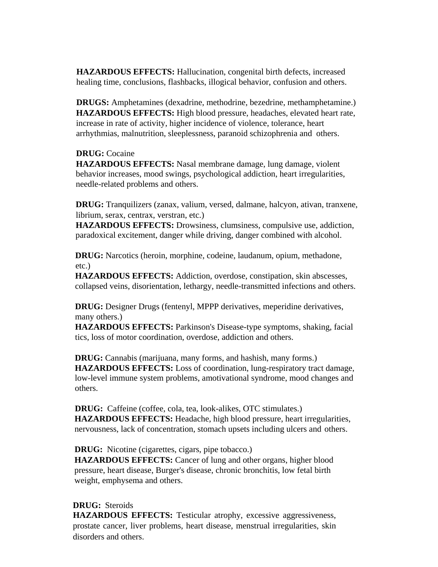**HAZARDOUS EFFECTS:** Hallucination, congenital birth defects, increased healing time, conclusions, flashbacks, illogical behavior, confusion and others.

**DRUGS:** Amphetamines (dexadrine, methodrine, bezedrine, methamphetamine.) **HAZARDOUS EFFECTS:** High blood pressure, headaches, elevated heart rate, increase in rate of activity, higher incidence of violence, tolerance, heart arrhythmias, malnutrition, sleeplessness, paranoid schizophrenia and others.

### **DRUG:** Cocaine

**HAZARDOUS EFFECTS:** Nasal membrane damage, lung damage, violent behavior increases, mood swings, psychological addiction, heart irregularities, needle-related problems and others.

**DRUG:** Tranquilizers (zanax, valium, versed, dalmane, halcyon, ativan, tranxene, librium, serax, centrax, verstran, etc.)

**HAZARDOUS EFFECTS:** Drowsiness, clumsiness, compulsive use, addiction, paradoxical excitement, danger while driving, danger combined with alcohol.

**DRUG:** Narcotics (heroin, morphine, codeine, laudanum, opium, methadone, etc.)

**HAZARDOUS EFFECTS:** Addiction, overdose, constipation, skin abscesses, collapsed veins, disorientation, lethargy, needle-transmitted infections and others.

**DRUG:** Designer Drugs (fentenyl, MPPP derivatives, meperidine derivatives, many others.)

**HAZARDOUS EFFECTS:** Parkinson's Disease-type symptoms, shaking, facial tics, loss of motor coordination, overdose, addiction and others.

**DRUG:** Cannabis (marijuana, many forms, and hashish, many forms.) **HAZARDOUS EFFECTS:** Loss of coordination, lung-respiratory tract damage, low-level immune system problems, amotivational syndrome, mood changes and others.

**DRUG:** Caffeine (coffee, cola, tea, look-alikes, OTC stimulates.) **HAZARDOUS EFFECTS:** Headache, high blood pressure, heart irregularities, nervousness, lack of concentration, stomach upsets including ulcers and others.

**DRUG:** Nicotine (cigarettes, cigars, pipe tobacco.)

**HAZARDOUS EFFECTS:** Cancer of lung and other organs, higher blood pressure, heart disease, Burger's disease, chronic bronchitis, low fetal birth weight, emphysema and others.

## **DRUG:** Steroids

**HAZARDOUS EFFECTS:** Testicular atrophy, excessive aggressiveness, prostate cancer, liver problems, heart disease, menstrual irregularities, skin disorders and others.